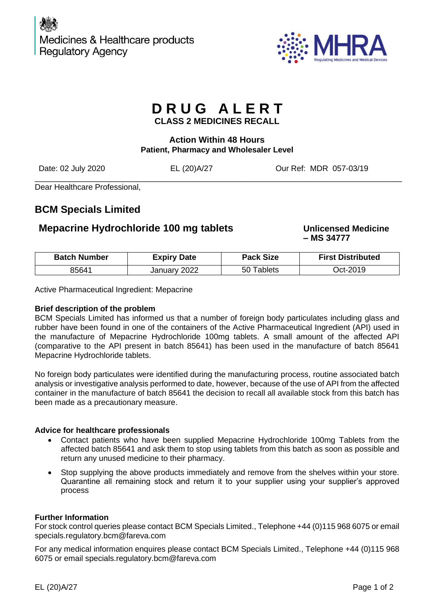

# **D R U G A L E R T**

**CLASS 2 MEDICINES RECALL**

## **Action Within 48 Hours Patient, Pharmacy and Wholesaler Level**

\_\_\_\_\_\_\_\_\_\_\_\_\_\_\_\_\_\_\_\_\_\_\_\_\_\_\_\_\_\_\_\_\_\_\_\_\_\_\_\_\_\_\_\_\_\_\_\_\_\_\_\_\_\_\_\_\_\_\_\_\_\_\_\_\_\_\_\_\_\_\_\_\_\_\_\_\_\_\_\_\_\_\_

Date: 02 July 2020 EL (20)A/27 Our Ref: MDR 057-03/19

Dear Healthcare Professional,

## **BCM Specials Limited**

## **Mepacrine Hydrochloride 100 mg tablets Unlicensed Medicine**

**– MS 34777**

| <b>Batch Number</b> | <b>Expiry Date</b> | <b>Pack Size</b>          | <b>First Distributed</b> |
|---------------------|--------------------|---------------------------|--------------------------|
| 85641               | 2022<br>January    | <sup>-</sup> ablets<br>50 | ገct-2019                 |

Active Pharmaceutical Ingredient: Mepacrine

## **Brief description of the problem**

BCM Specials Limited has informed us that a number of foreign body particulates including glass and rubber have been found in one of the containers of the Active Pharmaceutical Ingredient (API) used in the manufacture of Mepacrine Hydrochloride 100mg tablets. A small amount of the affected API (comparative to the API present in batch 85641) has been used in the manufacture of batch 85641 Mepacrine Hydrochloride tablets.

No foreign body particulates were identified during the manufacturing process, routine associated batch analysis or investigative analysis performed to date, however, because of the use of API from the affected container in the manufacture of batch 85641 the decision to recall all available stock from this batch has been made as a precautionary measure.

## **Advice for healthcare professionals**

- Contact patients who have been supplied Mepacrine Hydrochloride 100mg Tablets from the affected batch 85641 and ask them to stop using tablets from this batch as soon as possible and return any unused medicine to their pharmacy.
- Stop supplying the above products immediately and remove from the shelves within your store. Quarantine all remaining stock and return it to your supplier using your supplier's approved process

## **Further Information**

For stock control queries please contact BCM Specials Limited., Telephone +44 (0)115 968 6075 or email [specials.regulatory.bcm@fareva.com](mailto:specials.regulatory.bcm@fareva.com)

For any medical information enquires please contact BCM Specials Limited., Telephone +44 (0)115 968 6075 or email [specials.regulatory.bcm@fareva.com](mailto:specials.regulatory.bcm@fareva.com)